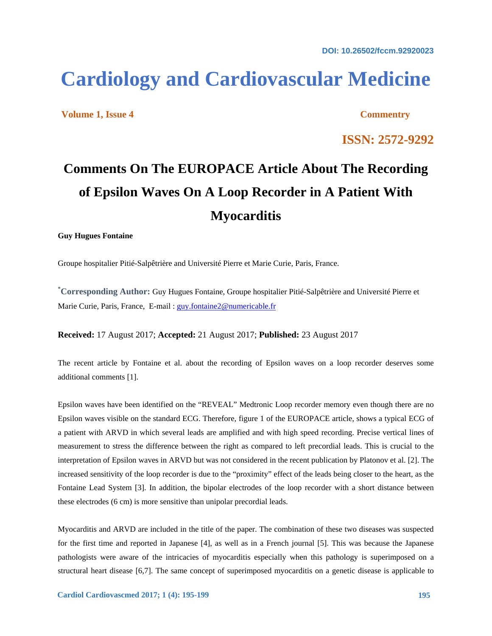**DOI: 10.26502/fccm.92920023** 

# **Cardiology and Cardiovascular Medicine**

**Volume 1, Issue 4 Commentry** 

**ISSN: 2572-9292** 

# **Comments On The EUROPACE Article About The Recording of Epsilon Waves On A Loop Recorder in A Patient With Myocarditis**

### **Guy Hugues Fontaine**

Groupe hospitalier Pitié-Salpêtrière and Université Pierre et Marie Curie, Paris, France.

**\* Corresponding Author:** Guy Hugues Fontaine, Groupe hospitalier Pitié-Salpêtrière and Université Pierre et Marie Curie, Paris, France, E-mail : guy.fontaine2@numericable.fr

**Received:** 17 August 2017; **Accepted:** 21 August 2017; **Published:** 23 August 2017

The recent article by Fontaine et al. about the recording of Epsilon waves on a loop recorder deserves some additional comments [1].

Epsilon waves have been identified on the "REVEAL" Medtronic Loop recorder memory even though there are no Epsilon waves visible on the standard ECG. Therefore, figure 1 of the EUROPACE article, shows a typical ECG of a patient with ARVD in which several leads are amplified and with high speed recording. Precise vertical lines of measurement to stress the difference between the right as compared to left precordial leads. This is crucial to the interpretation of Epsilon waves in ARVD but was not considered in the recent publication by Platonov et al. [2]. The increased sensitivity of the loop recorder is due to the "proximity" effect of the leads being closer to the heart, as the Fontaine Lead System [3]. In addition, the bipolar electrodes of the loop recorder with a short distance between these electrodes (6 cm) is more sensitive than unipolar precordial leads.

Myocarditis and ARVD are included in the title of the paper. The combination of these two diseases was suspected for the first time and reported in Japanese [4], as well as in a French journal [5]. This was because the Japanese pathologists were aware of the intricacies of myocarditis especially when this pathology is superimposed on a structural heart disease [6,7]. The same concept of superimposed myocarditis on a genetic disease is applicable to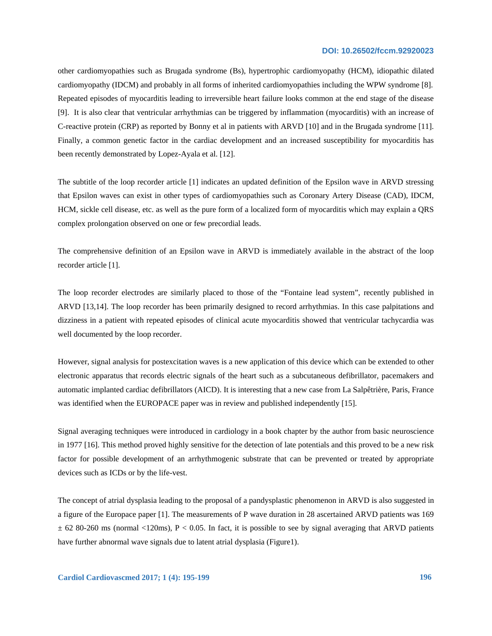#### **DOI: 10.26502/fccm.92920023**

other cardiomyopathies such as Brugada syndrome (Bs), hypertrophic cardiomyopathy (HCM), idiopathic dilated cardiomyopathy (IDCM) and probably in all forms of inherited cardiomyopathies including the WPW syndrome [8]. Repeated episodes of myocarditis leading to irreversible heart failure looks common at the end stage of the disease [9]. It is also clear that ventricular arrhythmias can be triggered by inflammation (myocarditis) with an increase of C-reactive protein (CRP) as reported by Bonny et al in patients with ARVD [10] and in the Brugada syndrome [11]. Finally, a common genetic factor in the cardiac development and an increased susceptibility for myocarditis has been recently demonstrated by Lopez-Ayala et al. [12].

The subtitle of the loop recorder article [1] indicates an updated definition of the Epsilon wave in ARVD stressing that Epsilon waves can exist in other types of cardiomyopathies such as Coronary Artery Disease (CAD), IDCM, HCM, sickle cell disease, etc. as well as the pure form of a localized form of myocarditis which may explain a QRS complex prolongation observed on one or few precordial leads.

The comprehensive definition of an Epsilon wave in ARVD is immediately available in the abstract of the loop recorder article [1].

The loop recorder electrodes are similarly placed to those of the "Fontaine lead system", recently published in ARVD [13,14]. The loop recorder has been primarily designed to record arrhythmias. In this case palpitations and dizziness in a patient with repeated episodes of clinical acute myocarditis showed that ventricular tachycardia was well documented by the loop recorder.

However, signal analysis for postexcitation waves is a new application of this device which can be extended to other electronic apparatus that records electric signals of the heart such as a subcutaneous defibrillator, pacemakers and automatic implanted cardiac defibrillators (AICD). It is interesting that a new case from La Salpêtrière, Paris, France was identified when the EUROPACE paper was in review and published independently [15].

Signal averaging techniques were introduced in cardiology in a book chapter by the author from basic neuroscience in 1977 [16]. This method proved highly sensitive for the detection of late potentials and this proved to be a new risk factor for possible development of an arrhythmogenic substrate that can be prevented or treated by appropriate devices such as ICDs or by the life-vest.

The concept of atrial dysplasia leading to the proposal of a pandysplastic phenomenon in ARVD is also suggested in a figure of the Europace paper [1]. The measurements of P wave duration in 28 ascertained ARVD patients was 169  $\pm$  62 80-260 ms (normal <120ms), P < 0.05. In fact, it is possible to see by signal averaging that ARVD patients have further abnormal wave signals due to latent atrial dysplasia (Figure1).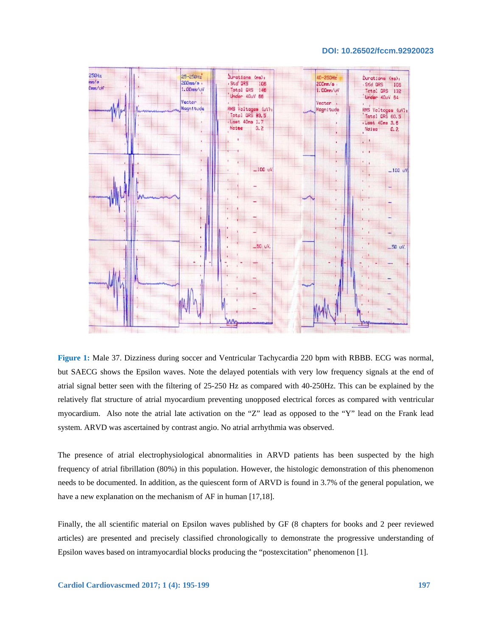#### **DOI: 10.26502/fccm.92920023**



**Figure 1:** Male 37. Dizziness during soccer and Ventricular Tachycardia 220 bpm with RBBB. ECG was normal, but SAECG shows the Epsilon waves. Note the delayed potentials with very low frequency signals at the end of atrial signal better seen with the filtering of 25-250 Hz as compared with 40-250Hz. This can be explained by the relatively flat structure of atrial myocardium preventing unopposed electrical forces as compared with ventricular myocardium. Also note the atrial late activation on the "Z" lead as opposed to the "Y" lead on the Frank lead system. ARVD was ascertained by contrast angio. No atrial arrhythmia was observed.

The presence of atrial electrophysiological abnormalities in ARVD patients has been suspected by the high frequency of atrial fibrillation (80%) in this population. However, the histologic demonstration of this phenomenon needs to be documented. In addition, as the quiescent form of ARVD is found in 3.7% of the general population, we have a new explanation on the mechanism of AF in human [17,18].

Finally, the all scientific material on Epsilon waves published by GF (8 chapters for books and 2 peer reviewed articles) are presented and precisely classified chronologically to demonstrate the progressive understanding of Epsilon waves based on intramyocardial blocks producing the "postexcitation" phenomenon [1].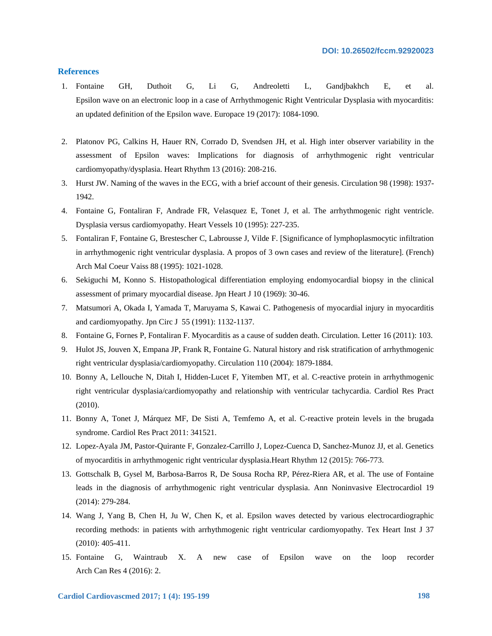## **References**

- 1. Fontaine GH, Duthoit G, Li G, Andreoletti L, Gandjbakhch E, et al. Epsilon wave on an electronic loop in a case of Arrhythmogenic Right Ventricular Dysplasia with myocarditis: an updated definition of the Epsilon wave. Europace 19 (2017): 1084-1090.
- 2. Platonov PG, Calkins H, Hauer RN, Corrado D, Svendsen JH, et al. High inter observer variability in the assessment of Epsilon waves: Implications for diagnosis of arrhythmogenic right ventricular cardiomyopathy/dysplasia. Heart Rhythm 13 (2016): 208-216.
- 3. Hurst JW. Naming of the waves in the ECG, with a brief account of their genesis. Circulation 98 (1998): 1937- 1942.
- 4. Fontaine G, Fontaliran F, Andrade FR, Velasquez E, Tonet J, et al. The arrhythmogenic right ventricle. Dysplasia versus cardiomyopathy. Heart Vessels 10 (1995): 227-235.
- 5. Fontaliran F, Fontaine G, Brestescher C, Labrousse J, Vilde F. [Significance of lymphoplasmocytic infiltration in arrhythmogenic right ventricular dysplasia. A propos of 3 own cases and review of the literature]. (French) Arch Mal Coeur Vaiss 88 (1995): 1021-1028.
- 6. Sekiguchi M, Konno S. Histopathological differentiation employing endomyocardial biopsy in the clinical assessment of primary myocardial disease. Jpn Heart J 10 (1969): 30-46.
- 7. Matsumori A, Okada I, Yamada T, Maruyama S, Kawai C. Pathogenesis of myocardial injury in myocarditis and cardiomyopathy. Jpn Circ J 55 (1991): 1132-1137.
- 8. Fontaine G, Fornes P, Fontaliran F. Myocarditis as a cause of sudden death. Circulation. Letter 16 (2011): 103.
- 9. Hulot JS, Jouven X, Empana JP, Frank R, Fontaine G. Natural history and risk stratification of arrhythmogenic right ventricular dysplasia/cardiomyopathy. Circulation 110 (2004): 1879-1884.
- 10. Bonny A, Lellouche N, Ditah I, Hidden-Lucet F, Yitemben MT, et al. C-reactive protein in arrhythmogenic right ventricular dysplasia/cardiomyopathy and relationship with ventricular tachycardia. Cardiol Res Pract (2010).
- 11. Bonny A, Tonet J, Márquez MF, De Sisti A, Temfemo A, et al. C-reactive protein levels in the brugada syndrome. Cardiol Res Pract 2011: 341521.
- 12. Lopez-Ayala JM, Pastor-Quirante F, Gonzalez-Carrillo J, Lopez-Cuenca D, Sanchez-Munoz JJ, et al. Genetics of myocarditis in arrhythmogenic right ventricular dysplasia.Heart Rhythm 12 (2015): 766-773.
- 13. Gottschalk B, Gysel M, Barbosa-Barros R, De Sousa Rocha RP, Pérez-Riera AR, et al. The use of Fontaine leads in the diagnosis of arrhythmogenic right ventricular dysplasia. Ann Noninvasive Electrocardiol 19 (2014): 279-284.
- 14. Wang J, Yang B, Chen H, Ju W, Chen K, et al. Epsilon waves detected by various electrocardiographic recording methods: in patients with arrhythmogenic right ventricular cardiomyopathy. Tex Heart Inst J 37 (2010): 405-411.
- 15. Fontaine G, Waintraub X. A new case of Epsilon wave on the loop recorder Arch Can Res 4 (2016): 2.